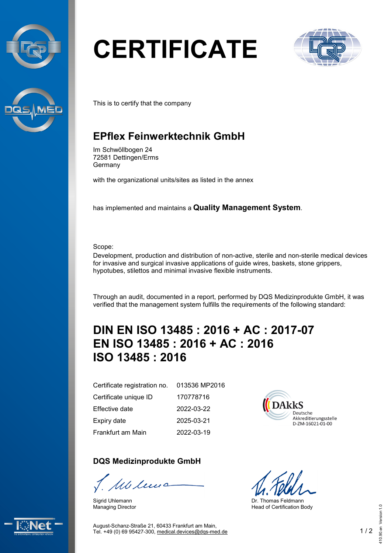



## **CERTIFICATE**



This is to certify that the company

## **EPflex Feinwerktechnik GmbH**

Im Schwöllbogen 24 72581 Dettingen/Erms Germany

with the organizational units/sites as listed in the annex

has implemented and maintains a **Quality Management System**.

Scope:

Development, production and distribution of non-active, sterile and non-sterile medical devices for invasive and surgical invasive applications of guide wires, baskets, stone grippers, hypotubes, stilettos and minimal invasive flexible instruments.

Through an audit, documented in a report, performed by DQS Medizinprodukte GmbH, it was verified that the management system fulfills the requirements of the following standard:

## **DIN EN ISO 13485 : 2016 + AC : 2017-07 EN ISO 13485 : 2016 + AC : 2016 ISO 13485 : 2016**

013536 MP2016

170778716 2022-03-22 2025-03-21 2022-03-19

Certificate registration no. Certificate unique ID Effective date Expiry date Frankfurt am Main

**DQS Medizinprodukte GmbH**

We leve

Sigrid Uhlemann Managing Director

DAkkS Deutsche Akkreditierungsstelle D-ZM-16021-01-00

Dr. Thomas Feldmann Head of Certification Body



August-Schanz-Straße 21, 60433 Frankfurt am Main, Tel. +49 (0) 69 95427-300, [medical.devices@dqs-med.de](mailto:medical.devices@dqs-med.de) 1 / 2